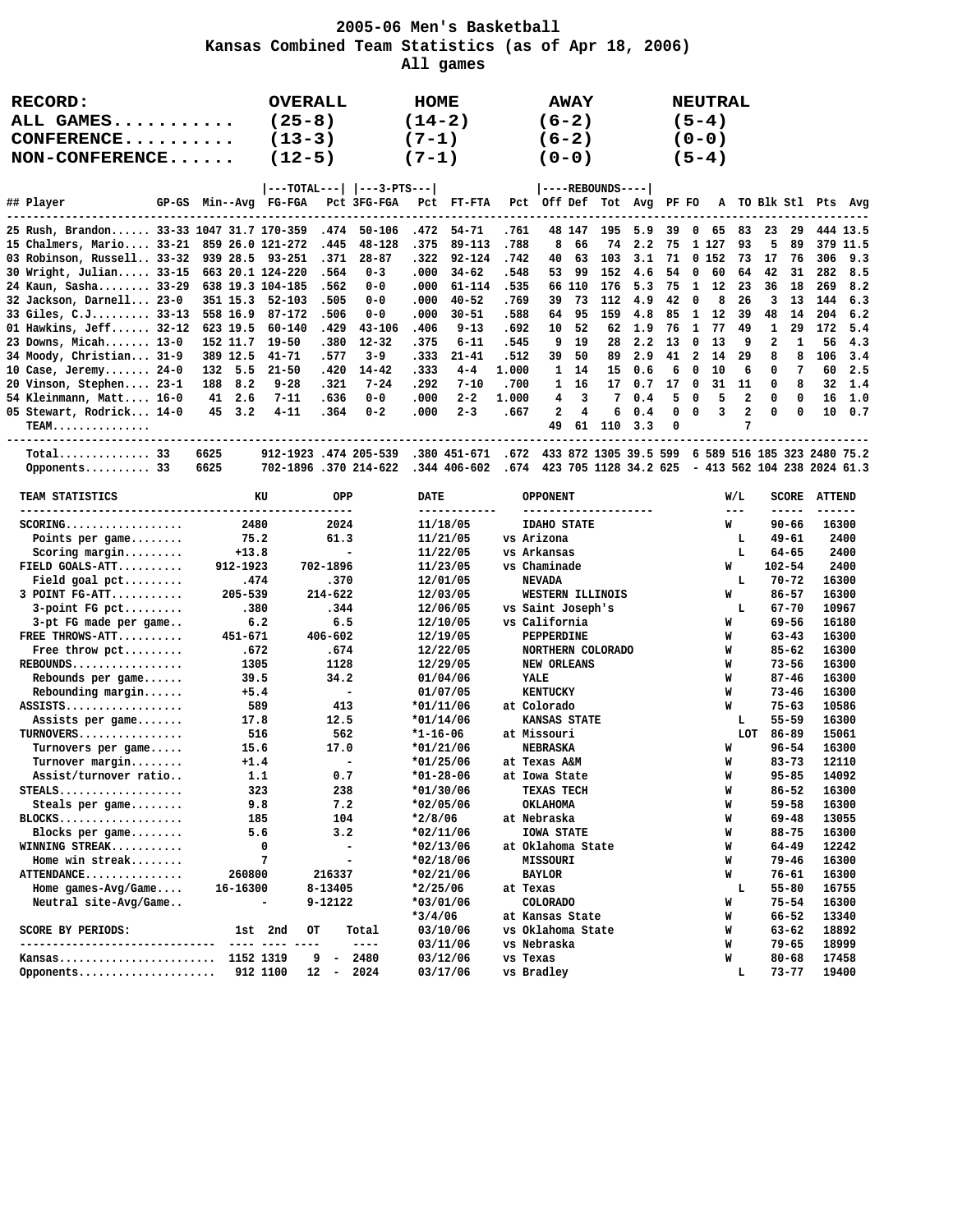## **2005-06 Men's Basketball Kansas Combined Team Statistics (as of Apr 18, 2006) All games**

| RECORD:<br>ALL GAMES<br>CONFERENCE<br>NON-CONFERENCE  |                              | <b>OVERALL</b><br>$(25-8)$<br>$(13-3)$<br>$(12-5)$   | HOME<br>$(14-2)$<br>$(7-1)$<br>$(7-1)$  | <b>AWAY</b><br>$(6-2)$<br>$(6-2)$<br>$(0 - 0)$ |                        | <b>NEUTRAL</b><br>$(5-4)$<br>$(0-0)$<br>$(5-4)$ |                        |                          |
|-------------------------------------------------------|------------------------------|------------------------------------------------------|-----------------------------------------|------------------------------------------------|------------------------|-------------------------------------------------|------------------------|--------------------------|
| ## Player<br>GP-GS                                    | Min--Avg FG-FGA              | ---TOTAL---   ---3-PTS--- <br>Pct 3FG-FGA            | Pct<br>FT-FTA                           | ----REBOUNDS---- <br>Pct Off Def Tot Avg       | PF FO                  | A                                               | TO Blk Stl Pts         | Avg                      |
|                                                       |                              |                                                      |                                         |                                                |                        |                                                 |                        |                          |
| 25 Rush, Brandon 33-33 1047 31.7 170-359              |                              | .474<br>50-106                                       | .472<br>$54 - 71$                       | .761<br>48 147<br>195                          | 5.9<br>39              | 0<br>83<br>65                                   | 23<br>29               | 444 13.5                 |
| 15 Chalmers, Mario 33-21                              | 859 26.0 121-272             | .445<br>48-128                                       | .375<br>89-113                          | .788<br>8<br>66<br>74<br>103                   | 2.2<br>75              | 93<br>1 127<br>73                               | 5<br>89                | 379<br>11.5              |
| 03 Robinson, Russell 33-32<br>30 Wright, Julian 33-15 | 939 28.5<br>663 20.1 124-220 | 93-251<br>.371<br>$28 - 87$<br>.564<br>$0 - 3$       | $92 - 124$<br>.322<br>.000<br>$34 - 62$ | .742<br>40<br>63<br>.548<br>53<br>99<br>152    | 3.1<br>71<br>4.6<br>54 | 0 152<br>0<br>60<br>64                          | 17<br>76<br>42<br>31   | 306<br>9.3<br>282<br>8.5 |
| 24 Kaun, Sasha 33-29                                  | 638 19.3 104-185             | .562<br>$0 - 0$                                      | .000<br>$61 - 114$                      | .535<br>66<br>110<br>176                       | 75<br>5.3              | 1<br>12<br>23                                   | 18<br>36               | 8.2<br>269               |
| 32 Jackson, Darnell 23-0                              | 351 15.3                     | 52-103<br>.505<br>$0 - 0$                            | $40 - 52$<br>.000                       | .769<br>73<br>39<br>112                        | 42<br>4.9              | 8<br>0<br>26                                    | 3<br>13                | 6.3<br>144               |
| 33 Giles, C.J 33-13                                   | 558 16.9                     | 87-172<br>.506<br>$0 - 0$                            | $30 - 51$<br>000.                       | .588<br>64<br>95<br>159                        | 4.8<br>85              | 1<br>12<br>39                                   | 48<br>14               | 204<br>6.2               |
| 01 Hawkins, Jeff $32-12$                              | 623 19.5                     | .429<br>60-140<br>43-106                             | .406<br>$9 - 13$                        | .692<br>52<br>10<br>62                         | 1.9<br>76              | 49<br>1<br>77                                   | 29<br>1                | 172<br>5.4               |
| 23 Downs, Micah $13-0$                                | 152 11.7                     | $19 - 50$<br>.380<br>$12 - 32$                       | .375<br>$6 - 11$                        | .545<br>9<br>19<br>28                          | 2.2<br>13              | 0<br>13<br>9                                    | 2<br>1                 | 56<br>4.3                |
| 34 Moody, Christian 31-9                              | 389 12.5                     | $41 - 71$<br>.577<br>$3 - 9$                         | .333<br>$21 - 41$                       | .512<br>39<br>50<br>89                         | 2.9<br>41              | 2<br>29<br>14                                   | 8<br>8                 | 3.4<br>106               |
| 10 Case, Jeremy $24-0$                                | 5.5<br>132                   | .420<br>$21 - 50$<br>$14 - 42$                       | .333<br>$4 - 4$                         | 1,000<br>1<br>14<br>15                         | 6<br>0.6               | 0<br>10<br>6                                    | 7<br>0                 | 2.5<br>60                |
| 20 Vinson, Stephen 23-1                               | 8.2<br>188                   | $9 - 28$<br>.321<br>$7 - 24$                         | .292<br>$7 - 10$                        | .700<br>1<br>16<br>17                          | 0.7<br>17              | 0<br>31<br>11                                   | 0<br>8                 | 32<br>1.4                |
| 54 Kleinmann, Matt 16-0                               | 2.6<br>41                    | $0 - 0$<br>$7 - 11$<br>.636                          | .000<br>$2 - 2$                         | 1.000<br>4<br>3<br>7                           | 5<br>0.4               | 5<br>2<br>0                                     | 0<br>0                 | 16<br>1.0                |
| 05 Stewart, Rodrick 14-0                              | 45<br>3.2                    | $4 - 11$<br>.364<br>$0 - 2$                          | .000<br>$2 - 3$                         | 2<br>4<br>.667<br>6                            | 0<br>0.4               | $\overline{\mathbf{2}}$<br>0<br>3               | 0<br>0                 | 10<br>0.7                |
| TEAM<br>-------------------------                     |                              |                                                      |                                         | 49<br>61<br>110                                | 0<br>3.3               | 7                                               |                        |                          |
| $Total$ 33                                            | 6625                         | 912-1923.474 205-539                                 | .380 451-671                            | 433 872 1305 39.5 599<br>.672                  |                        | 6 589 516 185 323 2480 75.2                     |                        |                          |
| Opponents 33                                          | 6625                         | 702-1896.370 214-622                                 | $.344$ 406-602                          | .674<br>423 705 1128 34.2 625                  |                        | - 413 562 104 238 2024 61.3                     |                        |                          |
|                                                       |                              |                                                      |                                         |                                                |                        |                                                 |                        |                          |
| TEAM STATISTICS<br>---------------------------------- | KU                           | OPP                                                  | DATE<br>------------                    | <b>OPPONENT</b><br>--------------------        |                        | W/L<br>$---$                                    | SCORE<br>$- - - - -$   | <b>ATTEND</b><br>------  |
| $SCORING$                                             | 2480                         | 2024                                                 | 11/18/05                                | <b>IDAHO STATE</b>                             |                        | W                                               | 90-66                  | 16300                    |
| Points per game                                       | 75.2                         | 61.3                                                 | 11/21/05                                | vs Arizona                                     |                        | Ъ                                               | 49-61                  | 2400                     |
| Scoring margin                                        | $+13.8$                      | $\overline{\phantom{0}}$                             | 11/22/05                                | vs Arkansas                                    |                        | L                                               | 64-65                  | 2400                     |
| FIELD GOALS-ATT                                       | 912-1923                     | 702-1896                                             | 11/23/05                                | vs Chaminade                                   |                        | M                                               | $102 - 54$             | 2400                     |
| Field goal $pet$                                      | .474                         | .370                                                 | 12/01/05                                | <b>NEVADA</b>                                  |                        | L                                               | $70 - 72$              | 16300                    |
| 3 POINT FG-ATT                                        | 205-539                      | $214 - 622$                                          | 12/03/05                                | WESTERN ILLINOIS                               |                        | W                                               | $86 - 57$              | 16300                    |
| $3$ -point FG pct                                     | .380                         | .344                                                 | 12/06/05                                | vs Saint Joseph's                              |                        | L                                               | 67-70                  | 10967                    |
| 3-pt FG made per game                                 | 6.2                          | 6.5                                                  | 12/10/05                                | vs California                                  |                        | M                                               | 69-56                  | 16180                    |
| FREE THROWS-ATT                                       | 451-671                      | $406 - 602$                                          | 12/19/05                                | PEPPERDINE                                     |                        | W                                               | 63-43                  | 16300                    |
| Free throw pct                                        | .672                         | .674                                                 | 12/22/05                                | NORTHERN COLORADO                              |                        | W                                               | 85-62                  | 16300                    |
| $REBOUNDS$<br>Rebounds per game                       | 1305<br>39.5                 | 1128<br>34.2                                         | 12/29/05<br>01/04/06                    | NEW ORLEANS<br>YALE                            |                        | W<br>W                                          | $73 - 56$<br>$87 - 46$ | 16300<br>16300           |
| Rebounding margin                                     | $+5.4$                       | $\overline{\phantom{a}}$                             | 01/07/05                                | <b>KENTUCKY</b>                                |                        | M                                               | $73 - 46$              | 16300                    |
| ASSISTS                                               | 589                          | 413                                                  | *01/11/06                               | at Colorado                                    |                        | M                                               | $75 - 63$              | 10586                    |
| Assists per game                                      | 17.8                         | 12.5                                                 | $*01/14/06$                             | <b>KANSAS STATE</b>                            |                        | Ъ                                               | 55-59                  | 16300                    |
| TURNOVERS                                             | 516                          | 562                                                  | $*1 - 16 - 06$                          | at Missouri                                    |                        | LOT                                             | 86-89                  | 15061                    |
| Turnovers per game                                    | 15.6                         | 17.0                                                 | $*01/21/06$                             | <b>NEBRASKA</b>                                |                        | W                                               | 96-54                  | 16300                    |
| $Turnover$ margin                                     | $+1.4$                       | $\overline{\phantom{a}}$                             | $*01/25/06$                             | at Texas A&M                                   |                        | W                                               | $83 - 73$              | 12110                    |
| Assist/turnover ratio                                 | 1.1                          | 0.7                                                  | $*01 - 28 - 06$                         | at Iowa State                                  |                        | W                                               | $95 - 85$              | 14092                    |
| $STEALS$                                              | 323                          | 238                                                  | $*01/30/06$                             | TEXAS TECH                                     |                        | W                                               | 86-52                  | 16300                    |
| Steals per game                                       | 9.8                          | 7.2                                                  | *02/05/06                               | <b>OKLAHOMA</b>                                |                        | W                                               | $59 - 58$              | 16300                    |
| $BLOCKS$                                              | 185                          | 104                                                  | $*2/8/06$                               | at Nebraska                                    |                        | W                                               | $69 - 48$              | 13055                    |
| Blocks per game                                       | 5.6                          | 3.2                                                  | $*02/11/06$                             | <b>IOWA STATE</b>                              |                        | W                                               | 88-75                  | 16300                    |
| WINNING STREAK<br>Home win streak                     | 0<br>7                       | $\overline{\phantom{a}}$<br>$\overline{\phantom{0}}$ | $*02/13/06$<br>$*02/18/06$              | at Oklahoma State<br>MISSOURI                  |                        | W<br>W                                          | 64-49<br>$79 - 46$     | 12242<br>16300           |
| ATTENDANCE                                            | 260800                       | 216337                                               | *02/21/06                               | <b>BAYLOR</b>                                  |                        | W                                               | $76 - 61$              | 16300                    |
| Home $qames-Avg/Game$                                 | 16-16300                     | 8-13405                                              | *2/25/06                                | at Texas                                       |                        | L                                               | $55 - 80$              | 16755                    |
| Neutral site-Avg/Game                                 | $\overline{\phantom{a}}$     | 9-12122                                              | $*03/01/06$                             | <b>COLORADO</b>                                |                        | W                                               | $75 - 54$              | 16300                    |
|                                                       |                              |                                                      | $*3/4/06$                               | at Kansas State                                |                        | W                                               | $66 - 52$              | 13340                    |
| SCORE BY PERIODS:                                     | 1st 2nd                      | OТ<br>Total                                          | 03/10/06                                | vs Oklahoma State                              |                        | W                                               | $63 - 62$              | 18892                    |
|                                                       |                              | ----                                                 | 03/11/06                                | vs Nebraska                                    |                        | W                                               | $79 - 65$              | 18999                    |
| Kansas                                                | 1152 1319                    | 9<br>2480<br>$\sim$                                  | 03/12/06                                | vs Texas                                       |                        | W                                               | $80 - 68$              | 17458                    |
| Opponents                                             | 912 1100                     | $12 -$<br>2024                                       | 03/17/06                                | vs Bradley                                     |                        | г                                               | $73 - 77$              | 19400                    |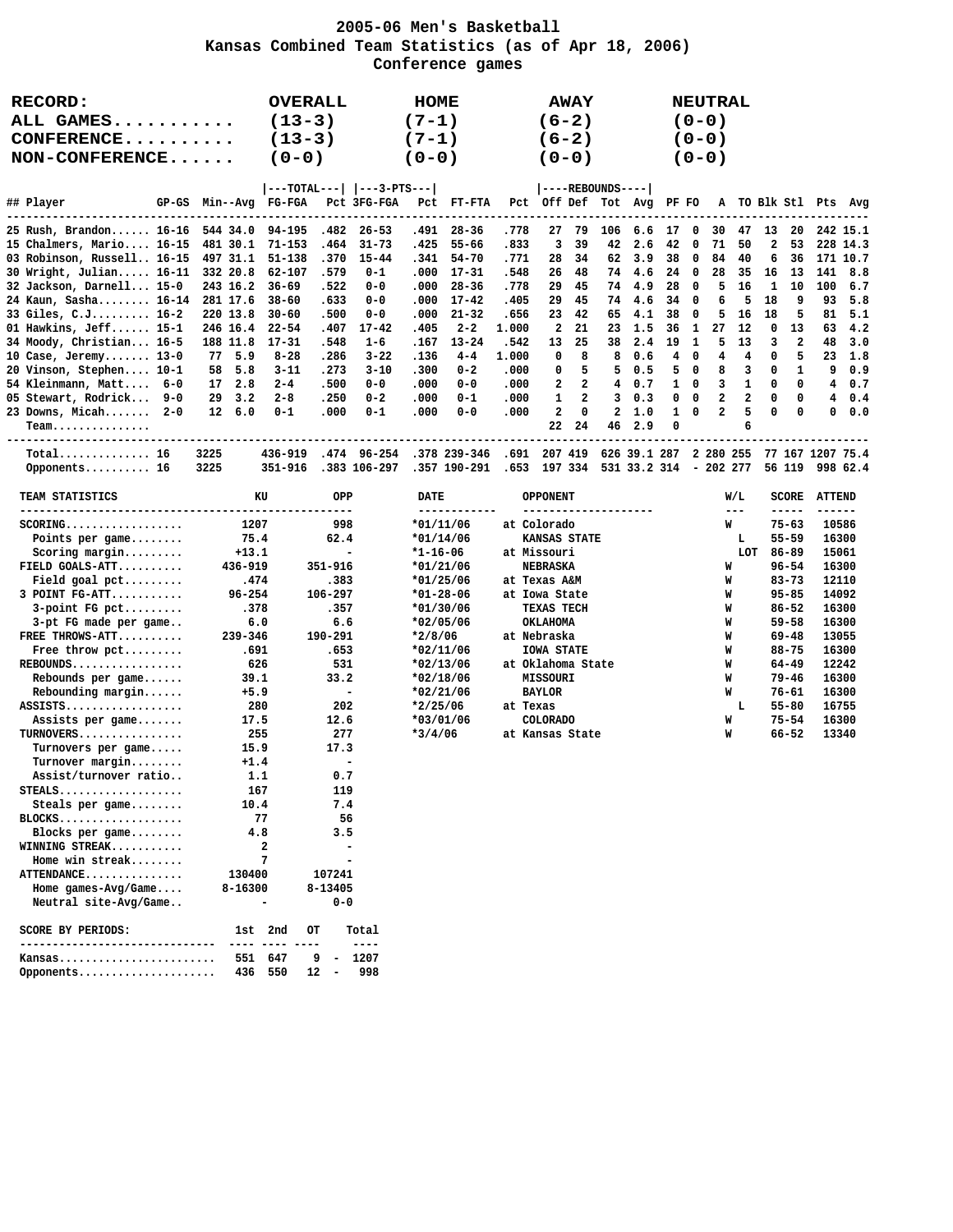### **2005-06 Men's Basketball Kansas Combined Team Statistics (as of Apr 18, 2006) Conference games**

| <b>RECORD:</b><br>ALL GAMES<br>$\mathtt{CONFERENCE}\ldots\ldots\ldots$<br>NON-CONFERENCE                                                                                                                                                                                                                                                                                                                               |                                                                                                                                                                                   | <b>OVERALL</b><br>$(13-3)$<br>$(13-3)$<br>$(0-0)$                                                                                                           |                                                                                                                                                                                                                                                        |                                                                                                                                                       | HOME<br>$(7-1)$<br>$(7-1)$<br>$(0 - 0)$                                                                                                                                                                                                        |                                                                                                                                                         |                                                                                                               | $(6-2)$<br>$(6-2)$<br>$(0 - 0)$                                                                                                                                                | <b>AWAY</b>                                                            |                                                                         |                                                                                         |                                                                        |                                                                                                | <b>NEUTRAL</b><br>$(0 - 0)$<br>$(0 - 0)$<br>$(0 - 0)$              |                                                                       |                                                                                         |                                                                                                                                                                                                                 |                                                         |                                                                                                                                              |
|------------------------------------------------------------------------------------------------------------------------------------------------------------------------------------------------------------------------------------------------------------------------------------------------------------------------------------------------------------------------------------------------------------------------|-----------------------------------------------------------------------------------------------------------------------------------------------------------------------------------|-------------------------------------------------------------------------------------------------------------------------------------------------------------|--------------------------------------------------------------------------------------------------------------------------------------------------------------------------------------------------------------------------------------------------------|-------------------------------------------------------------------------------------------------------------------------------------------------------|------------------------------------------------------------------------------------------------------------------------------------------------------------------------------------------------------------------------------------------------|---------------------------------------------------------------------------------------------------------------------------------------------------------|---------------------------------------------------------------------------------------------------------------|--------------------------------------------------------------------------------------------------------------------------------------------------------------------------------|------------------------------------------------------------------------|-------------------------------------------------------------------------|-----------------------------------------------------------------------------------------|------------------------------------------------------------------------|------------------------------------------------------------------------------------------------|--------------------------------------------------------------------|-----------------------------------------------------------------------|-----------------------------------------------------------------------------------------|-----------------------------------------------------------------------------------------------------------------------------------------------------------------------------------------------------------------|---------------------------------------------------------|----------------------------------------------------------------------------------------------------------------------------------------------|
| ## Player<br>-----------------                                                                                                                                                                                                                                                                                                                                                                                         | GP-GS Min--Avg FG-FGA                                                                                                                                                             |                                                                                                                                                             |                                                                                                                                                                                                                                                        | ---TOTAL---   ---3-PTS--- <br>Pct 3FG-FGA                                                                                                             |                                                                                                                                                                                                                                                | PCt FT-FTA                                                                                                                                              |                                                                                                               | Pct Off Def Tot Avg                                                                                                                                                            |                                                                        | ----REBOUNDS----                                                        |                                                                                         | PF FO                                                                  |                                                                                                |                                                                    |                                                                       |                                                                                         |                                                                                                                                                                                                                 |                                                         | A TO Blk Stl Pts Avg                                                                                                                         |
| 25 Rush, Brandon 16-16<br>15 Chalmers, Mario 16-15<br>03 Robinson, Russell 16-15<br>30 Wright, Julian 16-11<br>32 Jackson, Darnell 15-0<br>24 Kaun, Sasha 16-14<br>33 Giles, C.J 16-2<br>01 Hawkins, Jeff $15-1$<br>34 Moody, Christian 16-5<br>10 Case, Jeremy 13-0<br>20 Vinson, Stephen 10-1<br>54 Kleinmann, Matt 6-0<br>05 Stewart, Rodrick 9-0                                                                   | 544 34.0<br>481 30.1<br>497 31.1<br>332 20.8<br>243 16.2<br>281 17.6<br>220 13.8<br>246 16.4<br>188 11.8<br>77<br>5.9<br>5.8<br>58<br>17<br>2.8<br>$29 \quad 3.2$                 | 94-195<br>$71 - 153$<br>$51 - 138$<br>62-107<br>$36 - 69$<br>$38 - 60$<br>$30 - 60$<br>$22 - 54$<br>$17 - 31$<br>$8 - 28$<br>$3 - 11$<br>$2 - 4$<br>$2 - 8$ | .482<br>.464<br>.370<br>.579<br>.522<br>.633<br>.500<br>.407<br>.548<br>.286<br>.273<br>.500<br>.250                                                                                                                                                   | $26 - 53$<br>$31 - 73$<br>$15 - 44$<br>$0 - 1$<br>$0 - 0$<br>$0 - 0$<br>$0 - 0$<br>$17 - 42$<br>$1 - 6$<br>$3 - 22$<br>$3 - 10$<br>$0 - 0$<br>$0 - 2$ | .491<br>.425<br>.341<br>.000<br>.000<br>.000<br>.000<br>.405<br>.167<br>.136<br>.300<br>.000<br>.000                                                                                                                                           | $28 - 36$<br>55-66<br>$54 - 70$<br>$17 - 31$<br>$28 - 36$<br>$17 - 42$<br>$21 - 32$<br>$2 - 2$<br>$13 - 24$<br>$4 - 4$<br>$0 - 2$<br>$0 - 0$<br>$0 - 1$ | .778<br>.833<br>.771<br>.548<br>.778<br>.405<br>.656<br>1,000<br>.542<br>1,000<br>.000<br>.000<br>.000        | 27<br>3<br>28<br>26<br>29<br>29<br>23<br>2<br>13<br>0<br>0<br>2<br>1                                                                                                           | 79<br>39<br>34<br>48<br>45<br>45<br>42<br>21<br>25<br>8<br>5<br>2<br>2 | 106<br>42<br>62<br>74<br>74<br>74<br>65<br>23<br>38<br>8<br>5<br>4<br>3 | 6.6<br>2.6<br>3.9<br>4.6<br>4.9<br>4.6<br>4.1<br>1.5<br>2.4<br>0.6<br>0.5<br>0.7<br>0.3 | 17<br>42<br>38<br>24<br>28<br>34<br>38<br>36<br>19<br>4<br>5<br>1<br>0 | $\mathbf{0}$<br>0<br>0<br>0<br>0<br>$\mathbf{0}$<br>0<br>1<br>1<br>$\mathbf{0}$<br>0<br>0<br>0 | 30<br>71<br>84<br>28<br>5<br>6<br>5<br>27<br>5<br>4<br>8<br>3<br>2 | 47<br>50<br>40<br>35<br>16<br>5<br>16<br>12<br>13<br>4<br>3<br>1<br>2 | 13<br>$\overline{\mathbf{2}}$<br>6<br>16<br>1<br>18<br>18<br>0<br>3<br>0<br>0<br>0<br>0 | 20<br>53<br>36<br>13<br>10<br>9<br>5<br>13<br>$\boldsymbol{2}$<br>5<br>1<br>0<br>0                                                                                                                              | 141<br>100<br>93<br>81<br>63<br>48<br>23<br>9<br>4<br>4 | 242 15.1<br>228 14.3<br>171 10.7<br>8.8<br>6.7<br>5.8<br>5.1<br>4.2<br>3.0<br>1.8<br>0.9<br>0.7<br>0.4                                       |
| 23 Downs, Micah 2-0<br>$Team$<br>-----------------------------------<br>$Total$ 16                                                                                                                                                                                                                                                                                                                                     | $12 \quad 6.0$                                                                                                                                                                    | $0 - 1$<br>436-919                                                                                                                                          | .000                                                                                                                                                                                                                                                   | $0 - 1$                                                                                                                                               | .000                                                                                                                                                                                                                                           | $0 - 0$                                                                                                                                                 | .000                                                                                                          | $\overline{\mathbf{2}}$<br>22                                                                                                                                                  | $\mathbf 0$<br>24                                                      | $\mathbf{2}$<br>46                                                      | 1.0<br>2.9                                                                              | $\mathbf{1}$<br>0                                                      | $\mathbf 0$                                                                                    | $\overline{a}$                                                     | 5<br>6                                                                | 0                                                                                       | 0                                                                                                                                                                                                               | 0                                                       | 0.0                                                                                                                                          |
| Opponents 16                                                                                                                                                                                                                                                                                                                                                                                                           | 3225<br>3225                                                                                                                                                                      | 351-916                                                                                                                                                     |                                                                                                                                                                                                                                                        | .474 96-254 .378 239-346 .691 207 419<br>.383 106-297                                                                                                 |                                                                                                                                                                                                                                                | .357 190-291                                                                                                                                            | .653 197 334 531 33.2 314 - 202 277                                                                           |                                                                                                                                                                                |                                                                        |                                                                         | 626 39.1 287 2 280 255                                                                  |                                                                        |                                                                                                |                                                                    |                                                                       |                                                                                         | 56 119                                                                                                                                                                                                          |                                                         | 77 167 1207 75.4<br>998 62.4                                                                                                                 |
| TEAM STATISTICS                                                                                                                                                                                                                                                                                                                                                                                                        |                                                                                                                                                                                   | KU                                                                                                                                                          | OPP                                                                                                                                                                                                                                                    |                                                                                                                                                       | <b>DATE</b>                                                                                                                                                                                                                                    |                                                                                                                                                         |                                                                                                               | <b>OPPONENT</b>                                                                                                                                                                |                                                                        |                                                                         |                                                                                         |                                                                        |                                                                                                |                                                                    | W/L                                                                   |                                                                                         | SCORE                                                                                                                                                                                                           | <b>ATTEND</b>                                           |                                                                                                                                              |
| $SCORING$<br>Points per game<br>$Scoring margin \ldots$<br>FIELD GOALS-ATT<br>Field goal $pet$<br>3 POINT FG-ATT<br>$3$ -point FG pct<br>3-pt FG made per game<br>FREE THROWS-ATT<br>Free throw pct<br>$REBOUNDS$<br>Rebounds per game<br>Rebounding margin<br>ASSISTS<br>Assists per game<br>TURNOVERS<br>Turnovers per game<br>$Turnover$ margin<br>Assist/turnover ratio<br>$STEALS$<br>Steals per game<br>$BLOCKS$ | 1207<br>75.4<br>$+13.1$<br>436-919<br>.474<br>$96 - 254$<br>.378<br>6.0<br>239-346<br>.691<br>626<br>39.1<br>$+5.9$<br>280<br>17.5<br>255<br>15.9<br>$+1.4$<br>1.1<br>167<br>10.4 | 77                                                                                                                                                          | -----------<br>998<br>62.4<br>$\overline{\phantom{a}}$<br>351-916<br>.383<br>106-297<br>.357<br>6.6<br>190-291<br>.653<br>531<br>33.2<br>$\overline{\phantom{a}}$<br>202<br>12.6<br>277<br>17.3<br>$\overline{\phantom{a}}$<br>0.7<br>119<br>7.4<br>56 |                                                                                                                                                       | $*01/11/06$<br>$*01/14/06$<br>$*1 - 16 - 06$<br>$*01/21/06$<br>$*01/25/06$<br>$*01 - 28 - 06$<br>$*01/30/06$<br>$*02/05/06$<br>$*2/8/06$<br>$*02/11/06$<br>$*02/13/06$<br>$*02/18/06$<br>$*02/21/06$<br>$*2/25/06$<br>$*03/01/06$<br>$*3/4/06$ | ------------                                                                                                                                            | at Colorado<br>at Missouri<br>at Texas A&M<br>at Nebraska<br>at Oklahoma State<br>at Texas<br>at Kansas State | --------------------<br><b>KANSAS STATE</b><br>NEBRASKA<br>at Iowa State<br>TEXAS TECH<br><b>OKLAHOMA</b><br><b>IOWA STATE</b><br><b>MISSOURI</b><br><b>BAYLOR</b><br>COLORADO |                                                                        |                                                                         |                                                                                         |                                                                        |                                                                                                | W<br>W<br>W<br>W<br>W<br>W<br>W<br>W<br>W<br>W<br>M<br>M           | $- - -$<br>M<br>ъ<br>LOT<br>L                                         |                                                                                         | $- - - - -$<br>$75 - 63$<br>$55 - 59$<br>86-89<br>96-54<br>$83 - 73$<br>$95 - 85$<br>$86 - 52$<br>$59 - 58$<br>$69 - 48$<br>$88 - 75$<br>64-49<br>$79 - 46$<br>$76 - 61$<br>$55 - 80$<br>$75 - 54$<br>$66 - 52$ | ------                                                  | 10586<br>16300<br>15061<br>16300<br>12110<br>14092<br>16300<br>16300<br>13055<br>16300<br>12242<br>16300<br>16300<br>16755<br>16300<br>13340 |

 **WINNING STREAK........... 2 - Home win streak........ 7 - ATTENDANCE............... 130400 107241 Home games-Avg/Game.... 8-16300 8-13405 Neutral site-Avg/Game.. - 0-0**

 **SCORE BY PERIODS: 1st 2nd OT Total ------------------------------ ---- ---- ---- ---- Kansas........................ 551 647 9 - 1207 Opponents..................... 436 550 12 - 998**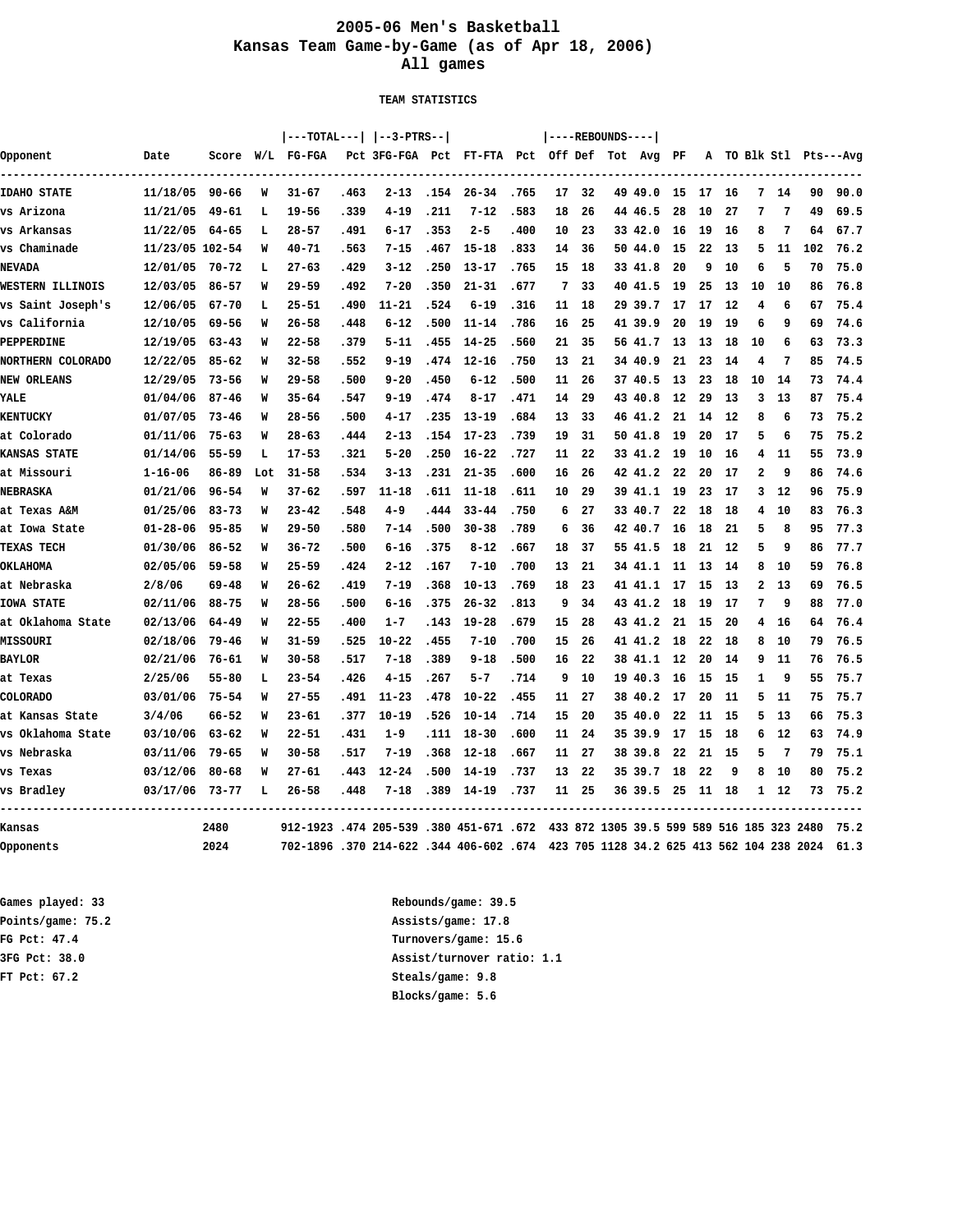## **2005-06 Men's Basketball Kansas Team Game-by-Game (as of Apr 18, 2006) All games**

 **TEAM STATISTICS**

|                          |                  |           |     | ---TOTAL---   --3-PTRS--                                                           |      |                                               |       |                            |      |                 |       | $ ---REBOUNDS--- $ |                       |      |    |    |                         |      |     |                        |
|--------------------------|------------------|-----------|-----|------------------------------------------------------------------------------------|------|-----------------------------------------------|-------|----------------------------|------|-----------------|-------|--------------------|-----------------------|------|----|----|-------------------------|------|-----|------------------------|
| Opponent                 | Date             |           |     | Score W/L FG-FGA                                                                   |      | Pct 3FG-FGA Pct FT-FTA Pct Off Def Tot Avg PF |       |                            |      |                 |       |                    |                       |      |    |    |                         |      |     | A TO Blk Stl Pts---Avg |
|                          |                  |           |     |                                                                                    |      |                                               |       | -------------------------- |      |                 |       |                    | --------------------- |      |    |    |                         |      |     |                        |
| <b>IDAHO STATE</b>       | 11/18/05 90-66   |           | W   | $31 - 67$                                                                          | .463 | $2 - 13$                                      |       | $.154$ 26-34               | .765 | 17              | 32    |                    | 49 49.0               | 15   | 17 | 16 | 7                       | 14   | 90  | 90.0                   |
| vs Arizona               | 11/21/05         | 49-61     | L   | $19 - 56$                                                                          | .339 | $4 - 19$                                      | .211  | $7 - 12$                   | .583 | 18              | 26    |                    | 44 46.5               | 28   | 10 | 27 | 7                       | 7    | 49  | 69.5                   |
| vs Arkansas              | $11/22/05$ 64-65 |           | L   | $28 - 57$                                                                          | .491 | $6 - 17$                                      | .353  | $2 - 5$                    | .400 | 10              | 23    |                    | 33 42.0               | 16   | 19 | 16 | 8                       | 7    | 64  | 67.7                   |
| vs Chaminade             | 11/23/05 102-54  |           | W   | $40 - 71$                                                                          | .563 | $7 - 15$                                      | .467  | $15 - 18$                  | .833 | 14              | 36    |                    | 50 44.0               | 15   | 22 | 13 | 5                       | 11   | 102 | 76.2                   |
| <b>NEVADA</b>            | 12/01/05         | 70-72     | L   | $27 - 63$                                                                          | .429 | $3 - 12$                                      | .250  | $13 - 17$                  | .765 | 15              | 18    |                    | 33 41.8               | 20   | 9  | 10 | 6                       | 5    | 70  | 75.0                   |
| WESTERN ILLINOIS         | 12/03/05         | $86 - 57$ | W   | $29 - 59$                                                                          | .492 | $7 - 20$                                      | .350  | $21 - 31$                  | .677 | 7               | 33    |                    | 40 41.5               | -19  | 25 | 13 | 10                      | 10   | 86  | 76.8                   |
| vs Saint Joseph's        | 12/06/05         | 67-70     | L   | $25 - 51$                                                                          | .490 | $11 - 21$                                     | .524  | $6 - 19$                   | .316 | 11              | 18    |                    | 2939.7                | 17   | 17 | 12 | 4                       | 6    | 67  | 75.4                   |
| vs California            | 12/10/05         | $69 - 56$ | W   | $26 - 58$                                                                          | .448 | $6 - 12$                                      | .500  | $11 - 14$                  | .786 | 16              | 25    |                    | 41 39.9               | 20   | 19 | 19 | 6                       | 9    | 69  | 74.6                   |
| PEPPERDINE               | 12/19/05         | $63 - 43$ | W   | $22 - 58$                                                                          | .379 | $5 - 11$                                      | .455  | $14 - 25$                  | .560 | 21              | 35    |                    | 56 41.7               | 13   | 13 | 18 | 10                      | 6    | 63  | 73.3                   |
| <b>NORTHERN COLORADO</b> | 12/22/05         | $85 - 62$ | W   | $32 - 58$                                                                          | .552 | $9 - 19$                                      | .474  | 12-16                      | .750 | 13              | 21    |                    | 34 40.9               | 21   | 23 | 14 | 4                       | 7    | 85  | 74.5                   |
| <b>NEW ORLEANS</b>       | 12/29/05         | 73-56     | W   | $29 - 58$                                                                          | .500 | $9 - 20$                                      | .450  | $6 - 12$                   | .500 | 11              | 26    |                    | 37 40.5               | 13   | 23 | 18 | 10                      | 14   | 73  | 74.4                   |
| YALE                     | 01/04/06         | $87 - 46$ | W   | $35 - 64$                                                                          | .547 | $9 - 19$                                      | .474  | $8 - 17$                   | .471 | 14              | 29    |                    | 43 40.8               | 12   | 29 | 13 | 3                       | 13   | 87  | 75.4                   |
| <b>KENTUCKY</b>          | 01/07/05         | $73 - 46$ | W   | $28 - 56$                                                                          | .500 | $4 - 17$                                      | .235  | $13 - 19$                  | .684 | 13              | 33    |                    | 46 41.2               | 21   | 14 | 12 | 8                       | 6    | 73  | 75.2                   |
| at Colorado              | 01/11/06         | $75 - 63$ | W   | $28 - 63$                                                                          | .444 | $2 - 13$                                      | .154  | $17 - 23$                  | .739 | 19              | 31    |                    | 50 41.8               | 19   | 20 | 17 | 5                       | 6    | 75  | 75.2                   |
| <b>KANSAS STATE</b>      | 01/14/06         | $55 - 59$ | L   | $17 - 53$                                                                          | .321 | $5 - 20$                                      | .250  | $16 - 22$                  | .727 | 11              | 22    |                    | 33 41.2               | -19  | 10 | 16 | 4                       | 11   | 55  | 73.9                   |
| at Missouri              | $1 - 16 - 06$    | 86-89     | Lot | $31 - 58$                                                                          | .534 | $3 - 13$                                      | .231  | $21 - 35$                  | .600 | 16              | 26    |                    | 42 41.2               | -22  | 20 | 17 | $\overline{\mathbf{2}}$ | 9    | 86  | 74.6                   |
| NEBRASKA                 | 01/21/06         | $96 - 54$ | W   | $37 - 62$                                                                          | .597 | $11 - 18$                                     | .611  | 11-18                      | .611 | 10              | 29    |                    | 39 41.1 19            |      | 23 | 17 | 3                       | -12  | 96  | 75.9                   |
| at Texas A&M             | 01/25/06         | $83 - 73$ | W   | $23 - 42$                                                                          | .548 | $4 - 9$                                       | .444  | $33 - 44$                  | .750 | 6               | 27    |                    | 33 40.7               | 22   | 18 | 18 | 4                       | 10   | 83  | 76.3                   |
| at Iowa State            | $01 - 28 - 06$   | $95 - 85$ | W   | $29 - 50$                                                                          | .580 | $7 - 14$                                      | .500  | $30 - 38$                  | .789 | 6               | 36    |                    | 42 40.7               | 16   | 18 | 21 | 5                       | 8    | 95  | 77.3                   |
| <b>TEXAS TECH</b>        | 01/30/06         | $86 - 52$ | W   | $36 - 72$                                                                          | .500 | $6 - 16$                                      | .375  | $8 - 12$                   | .667 | 18              | 37    |                    | 55 41.5               | - 18 | 21 | 12 | 5                       | 9    | 86  | 77.7                   |
| <b>OKLAHOMA</b>          | 02/05/06         | $59 - 58$ | W   | $25 - 59$                                                                          | .424 | $2 - 12$                                      | .167  | $7 - 10$                   | .700 | 13              | 21    |                    | 34 41.1               | - 11 | 13 | 14 | 8                       | 10   | 59  | 76.8                   |
| at Nebraska              | 2/8/06           | 69-48     | W   | $26 - 62$                                                                          | .419 | $7 - 19$                                      | .368  | $10 - 13$                  | .769 | 18              | 23    |                    | 41 41.1               | - 17 | 15 | 13 | $\mathbf{2}$            | 13   | 69  | 76.5                   |
| <b>IOWA STATE</b>        | 02/11/06         | $88 - 75$ | W   | $28 - 56$                                                                          | .500 | $6 - 16$                                      | .375  | $26 - 32$                  | .813 | 9               | 34    |                    | 43 41.2               | 18   | 19 | 17 | 7                       | 9    | 88  | 77.0                   |
| at Oklahoma State        | 02/13/06         | $64 - 49$ | W   | $22 - 55$                                                                          | .400 | $1 - 7$                                       | . 143 | $19 - 28$                  | .679 | 15              | 28    |                    | 43 41.2               | -21  | 15 | 20 | 4                       | 16   | 64  | 76.4                   |
| MISSOURI                 | 02/18/06         | $79 - 46$ | W   | $31 - 59$                                                                          | .525 | $10 - 22$                                     | .455  | $7 - 10$                   | .700 | 15              | 26    |                    | 41 41.2               | 18   | 22 | 18 | 8                       | 10   | 79  | 76.5                   |
| <b>BAYLOR</b>            | 02/21/06         | 76-61     | W   | $30 - 58$                                                                          | .517 | $7 - 18$                                      | .389  | $9 - 18$                   | .500 | 16              | 22    |                    | 38 41.1               | - 12 | 20 | 14 | 9                       | 11   | 76  | 76.5                   |
| at Texas                 | 2/25/06          | $55 - 80$ | L   | $23 - 54$                                                                          | .426 | $4 - 15$                                      | .267  | $5 - 7$                    | .714 | 9               | 10    |                    | 19 40.3               | 16   | 15 | 15 | 1                       | 9    | 55  | 75.7                   |
| <b>COLORADO</b>          | 03/01/06         | 75-54     | W   | $27 - 55$                                                                          | .491 | $11 - 23$                                     | .478  | $10 - 22$                  | .455 | 11              | 27    |                    | 38 40.2               | 17   | 20 | 11 | 5                       | 11   | 75  | 75.7                   |
| at Kansas State          | 3/4/06           | 66-52     | W   | $23 - 61$                                                                          | .377 | $10 - 19$                                     | .526  | $10 - 14$                  | .714 | 15              | 20    |                    | 35 40.0               | 22   | 11 | 15 | 5                       | -13  | 66  | 75.3                   |
| vs Oklahoma State        | 03/10/06         | $63 - 62$ | W   | $22 - 51$                                                                          | .431 | $1 - 9$                                       | .111  | $18 - 30$                  | .600 | 11              | 24    |                    | 35 39.9               | 17   | 15 | 18 | 6                       | 12   | 63  | 74.9                   |
| vs Nebraska              | 03/11/06         | $79 - 65$ | W   | $30 - 58$                                                                          | .517 | $7 - 19$                                      | .368  | $12 - 18$                  | .667 | 11              | 27    |                    | 38 39.8               | 22   | 21 | 15 | 5                       | 7    | 79  | 75.1                   |
| vs Texas                 | 03/12/06         | $80 - 68$ | W   | $27 - 61$                                                                          | .443 | $12 - 24$                                     | .500  | $14 - 19$                  | .737 | 13 <sup>7</sup> | 22    |                    | 35 39.7               | 18   | 22 | 9  | 8                       | 10   | 80  | 75.2                   |
| vs Bradley               | 03/17/06 73-77   |           | L   | $26 - 58$                                                                          | .448 | $7 - 18$                                      | .389  | 14-19                      | .737 |                 | 11 25 |                    | 36 39.5 25 11 18      |      |    |    |                         | 1 12 | 73  | 75.2                   |
| Kansas                   |                  | 2480      |     | 912-1923 .474 205-539 .380 451-671 .672 433 872 1305 39.5 599 589 516 185 323 2480 |      |                                               |       |                            |      |                 |       |                    |                       |      |    |    |                         |      |     | 75.2                   |
| Opponents                |                  | 2024      |     | 702-1896 .370 214-622 .344 406-602 .674 423 705 1128 34.2 625 413 562 104 238 2024 |      |                                               |       |                            |      |                 |       |                    |                       |      |    |    |                         |      |     | 61.3                   |

**FT Pct: 67.2 Steals/game: 9.8**

**Games played: 33 Rebounds/game: 39.5 Points/game: 75.2 Assists/game: 17.8 FG Pct: 47.4 Turnovers/game: 15.6 3FG Pct: 38.0 Assist/turnover ratio: 1.1 Blocks/game: 5.6**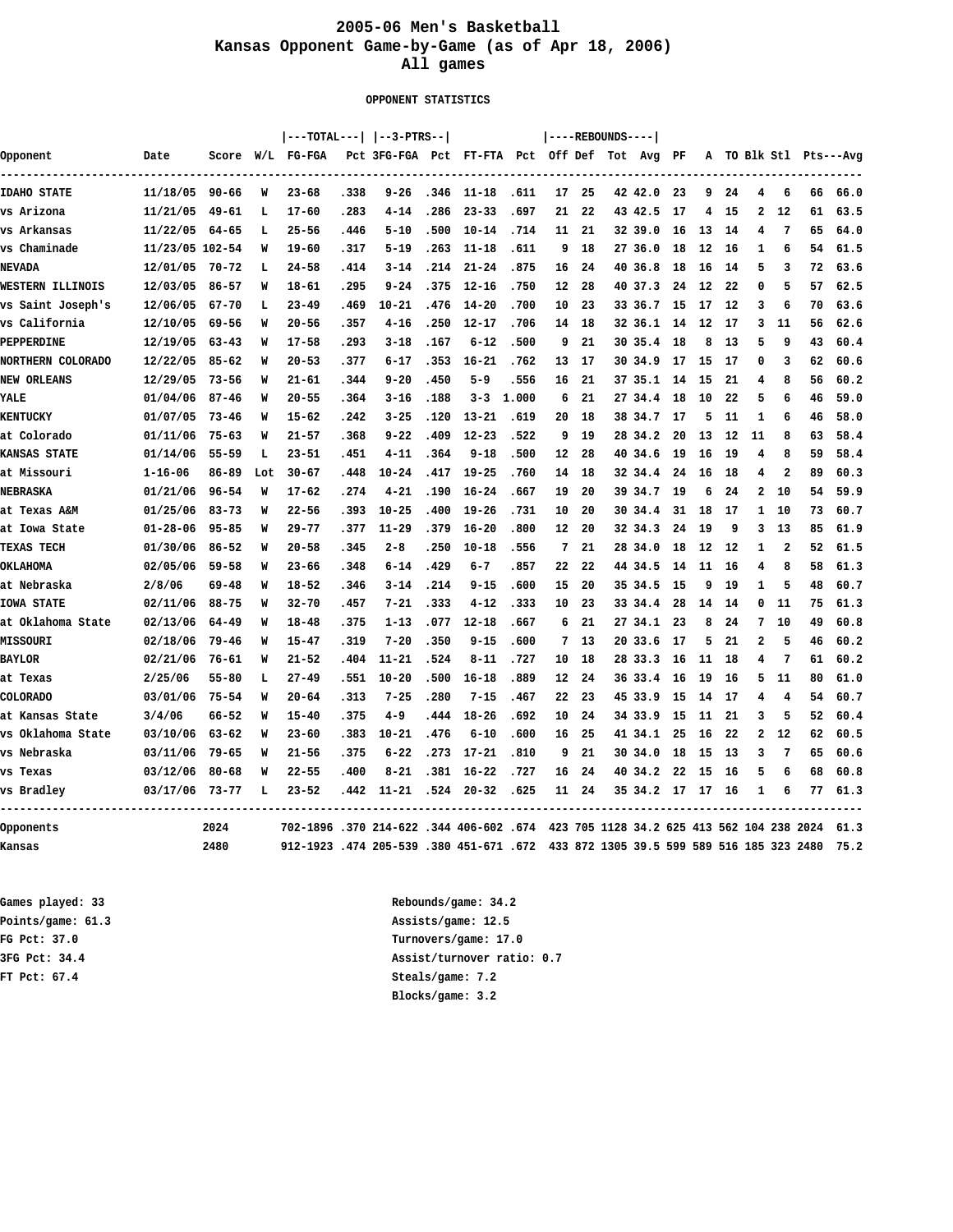## **2005-06 Men's Basketball Kansas Opponent Game-by-Game (as of Apr 18, 2006) All games**

 **OPPONENT STATISTICS**

|                     |                 |           |     |                                                                                    |      | ---TOTAL---   --3-PTRS--                      |      |              |       |    |       | $ ---REBOUNDS--- $ |                  |      |       |     |              |              |                                 |                        |
|---------------------|-----------------|-----------|-----|------------------------------------------------------------------------------------|------|-----------------------------------------------|------|--------------|-------|----|-------|--------------------|------------------|------|-------|-----|--------------|--------------|---------------------------------|------------------------|
| Opponent            | Date            |           |     | Score W/L FG-FGA                                                                   |      | Pct 3FG-FGA Pct FT-FTA Pct Off Def Tot Avg PF |      |              |       |    |       |                    |                  |      |       |     |              |              |                                 | A TO Blk Stl Pts---Avg |
| <b>IDAHO STATE</b>  | 11/18/05 90-66  |           | W   | $23 - 68$                                                                          | .338 | $9 - 26$                                      |      | $.346$ 11-18 | .611  | 17 | 25    |                    | 42 42.0          | 23   | 9     | 24  | 4            | 6            | 66                              | 66.0                   |
| vs Arizona          | 11/21/05 49-61  |           | L   | $17 - 60$                                                                          | .283 | $4 - 14$                                      | .286 | $23 - 33$    | .697  | 21 | 22    |                    | 43 42.5          | - 17 | 4     | 15  | $\mathbf{2}$ | 12           | 61                              | 63.5                   |
| vs Arkansas         | 11/22/05 64-65  |           | Ь   | $25 - 56$                                                                          | .446 | $5 - 10$                                      | .500 | $10 - 14$    | .714  | 11 | 21    |                    | 32 39.0          | 16   | 13    | 14  | 4            | 7            | 65                              | 64.0                   |
| vs Chaminade        | 11/23/05 102-54 |           | W   | $19 - 60$                                                                          | .317 | $5 - 19$                                      | .263 | $11 - 18$    | .611  | 9  | 18    |                    | 27 36.0          | 18   | 12    | 16  | 1            | 6            | 54                              | 61.5                   |
| <b>NEVADA</b>       | 12/01/05 70-72  |           | L   | $24 - 58$                                                                          | .414 | $3 - 14$                                      | .214 | $21 - 24$    | .875  | 16 | 24    |                    | 40 36.8          | 18   | 16    | 14  | 5            | 3            | 72                              | 63.6                   |
| WESTERN ILLINOIS    | 12/03/05        | $86 - 57$ | W   | $18 - 61$                                                                          | .295 | $9 - 24$                                      | .375 | $12 - 16$    | .750  | 12 | 28    |                    | 40 37.3          | 24   | 12    | 22  | 0            | 5            | 57                              | 62.5                   |
| vs Saint Joseph's   | 12/06/05        | $67 - 70$ | L   | $23 - 49$                                                                          | .469 | $10 - 21$                                     | .476 | $14 - 20$    | .700  | 10 | 23    |                    | 33 36.7          | 15   | 17    | 12  | 3            | 6            | 70                              | 63.6                   |
| vs California       | 12/10/05        | 69-56     | W   | $20 - 56$                                                                          | .357 | $4 - 16$                                      | .250 | $12 - 17$    | .706  |    | 14 18 |                    | 32 36.1          | 14   | - 12  | 17  | 3            | 11           | 56                              | 62.6                   |
| PEPPERDINE          | 12/19/05        | $63 - 43$ | W   | $17 - 58$                                                                          | .293 | $3 - 18$                                      | .167 | $6 - 12$     | .500  | 9  | 21    |                    | 30 35.4 18       |      | 8     | 13  | 5            | 9            | 43                              | 60.4                   |
| NORTHERN COLORADO   | 12/22/05        | $85 - 62$ | W   | $20 - 53$                                                                          | .377 | $6 - 17$                                      | .353 | $16 - 21$    | .762  | 13 | 17    |                    | 30 34.9          | 17   | 15    | 17  | 0            | 3            | 62                              | 60.6                   |
| <b>NEW ORLEANS</b>  | 12/29/05        | $73 - 56$ | W   | $21 - 61$                                                                          | .344 | $9 - 20$                                      | .450 | $5 - 9$      | .556  | 16 | 21    |                    | 37 35.1          | 14   | 15    | 21  | 4            | 8            | 56                              | 60.2                   |
| YALE                | 01/04/06        | $87 - 46$ | W   | $20 - 55$                                                                          | .364 | $3 - 16$                                      | .188 | $3 - 3$      | 1,000 | 6  | 21    |                    | 27 34.4          | 18   | 10    | 22  | 5            | 6            | 46                              | 59.0                   |
| <b>KENTUCKY</b>     | 01/07/05        | $73 - 46$ | W   | $15 - 62$                                                                          | .242 | $3 - 25$                                      | .120 | $13 - 21$    | .619  | 20 | 18    |                    | 38 34.7          | 17   | 5     | 11  | 1            | 6            | 46                              | 58.0                   |
| at Colorado         | 01/11/06        | $75 - 63$ | W   | $21 - 57$                                                                          | .368 | $9 - 22$                                      | .409 | $12 - 23$    | .522  | 9  | 19    |                    | 28 34.2          | 20   | 13    | 12  | 11           | 8            | 63                              | 58.4                   |
| <b>KANSAS STATE</b> | 01/14/06        | $55 - 59$ | г   | $23 - 51$                                                                          | .451 | $4 - 11$                                      | .364 | $9 - 18$     | .500  | 12 | 28    |                    | 40 34.6          | 19   | 16    | 19  | 4            | 8            | 59                              | 58.4                   |
| at Missouri         | $1 - 16 - 06$   | 86-89     | Lot | $30 - 67$                                                                          | .448 | $10 - 24$                                     | .417 | $19 - 25$    | .760  | 14 | - 18  |                    | 32 34.4          | 24   | - 16  | 18  | 4            | $\mathbf{2}$ | 89                              | 60.3                   |
| <b>NEBRASKA</b>     | 01/21/06        | $96 - 54$ | W   | $17 - 62$                                                                          | .274 | $4 - 21$                                      | .190 | $16 - 24$    | .667  | 19 | 20    |                    | 39 34.7          | - 19 | 6     | 24  | 2            | 10           | 54                              | 59.9                   |
| at Texas A&M        | 01/25/06        | $83 - 73$ | W   | $22 - 56$                                                                          | .393 | $10 - 25$                                     | .400 | $19 - 26$    | .731  | 10 | 20    |                    | 30 34.4          | 31   | 18    | 17  | 1            | 10           | 73                              | 60.7                   |
| at Iowa State       | $01 - 28 - 06$  | $95 - 85$ | W   | $29 - 77$                                                                          | .377 | $11 - 29$                                     | .379 | $16 - 20$    | .800  | 12 | 20    |                    | 32 34.3          | 24   | 19    | 9   | 3            | 13           | 85                              | 61.9                   |
| <b>TEXAS TECH</b>   | 01/30/06        | $86 - 52$ | W   | $20 - 58$                                                                          | .345 | $2 - 8$                                       | .250 | $10 - 18$    | .556  | 7  | 21    |                    | 28 34.0          | 18   | 12    | 12  | 1            | 2            | 52                              | 61.5                   |
| <b>OKLAHOMA</b>     | 02/05/06        | $59 - 58$ | w   | $23 - 66$                                                                          | .348 | $6 - 14$                                      | .429 | $6 - 7$      | .857  | 22 | 22    |                    | 44 34.5          | 14   | - 11  | 16  | 4            | 8            | 58                              | 61.3                   |
| at Nebraska         | 2/8/06          | 69-48     | W   | $18 - 52$                                                                          | .346 | $3 - 14$                                      | .214 | $9 - 15$     | .600  | 15 | 20    |                    | 35 34.5          | - 15 | 9     | 19  | 1            | 5            | 48                              | 60.7                   |
| <b>IOWA STATE</b>   | 02/11/06        | $88 - 75$ | W   | $32 - 70$                                                                          | .457 | $7 - 21$                                      | .333 | $4 - 12$     | .333  | 10 | 23    |                    | 33 34.4          | -28  | 14    | -14 | 0            | 11           | 75                              | 61.3                   |
| at Oklahoma State   | 02/13/06        | 64-49     | W   | $18 - 48$                                                                          | .375 | $1 - 13$                                      | .077 | $12 - 18$    | .667  | 6  | 21    |                    | 27 34.1          | -23  | 8     | 24  | 7            | 10           | 49                              | 60.8                   |
| MISSOURI            | 02/18/06        | 79-46     | W   | $15 - 47$                                                                          | .319 | $7 - 20$                                      | .350 | $9 - 15$     | .600  | 7  | 13    |                    | 20 33.6          | 17   | 5     | 21  | $\mathbf{2}$ | 5            | 46                              | 60.2                   |
| <b>BAYLOR</b>       | 02/21/06        | 76-61     | W   | $21 - 52$                                                                          | .404 | $11 - 21$                                     | .524 | $8 - 11$     | .727  | 10 | 18    |                    | 28 33.3          | 16   | 11    | 18  | 4            | 7            | 61                              | 60.2                   |
| at Texas            | 2/25/06         | $55 - 80$ | L   | $27 - 49$                                                                          | .551 | $10 - 20$                                     | .500 | $16 - 18$    | .889  | 12 | 24    |                    | 36 33.4          | 16   | 19    | 16  | 5            | 11           | 80                              | 61.0                   |
| <b>COLORADO</b>     | 03/01/06        | $75 - 54$ | W   | $20 - 64$                                                                          | .313 | $7 - 25$                                      | .280 | $7 - 15$     | .467  | 22 | 23    |                    | 45 33.9          | 15   | 14    | 17  | 4            | 4            | 54                              | 60.7                   |
| at Kansas State     | 3/4/06          | $66 - 52$ | W   | $15 - 40$                                                                          | .375 | $4 - 9$                                       | .444 | $18 - 26$    | .692  | 10 | 24    |                    | 34 33.9          | 15   | 11    | 21  | 3            | 5            | 52                              | 60.4                   |
| vs Oklahoma State   | 03/10/06        | $63 - 62$ | W   | $23 - 60$                                                                          | .383 | $10 - 21$                                     | .476 | $6 - 10$     | .600  | 16 | 25    |                    | 41 34.1          | 25   | 16    | 22  | $\mathbf{2}$ | 12           | 62                              | 60.5                   |
| vs Nebraska         | 03/11/06        | $79 - 65$ | W   | $21 - 56$                                                                          | .375 | $6 - 22$                                      | .273 | $17 - 21$    | .810  | 9  | 21    |                    | 30 34.0          | 18   | 15    | 13  | 3            | 7            | 65                              | 60.6                   |
| vs Texas            | 03/12/06        | $80 - 68$ | W   | $22 - 55$                                                                          | .400 | $8 - 21$                                      | .381 | 16-22        | .727  | 16 | 24    |                    | 40 34.2          |      | 22 15 | -16 | 5            | 6            | 68                              | 60.8                   |
| vs Bradley          | 03/17/06 73-77  |           | ъ   | $23 - 52$                                                                          | .442 | 11-21                                         |      | $.524$ 20-32 | .625  |    | 11 24 |                    | 35 34.2 17 17 16 |      |       |     | 1            | 6            | 77                              | 61.3                   |
| Opponents           |                 | 2024      |     | 702-1896 .370 214-622 .344 406-602 .674 423 705 1128 34.2 625 413 562 104 238 2024 |      |                                               |      |              |       |    |       |                    |                  |      |       |     |              |              | ------------------------------- | 61.3                   |
| Kansas              |                 | 2480      |     | 912-1923 .474 205-539 .380 451-671 .672 433 872 1305 39.5 599 589 516 185 323 2480 |      |                                               |      |              |       |    |       |                    |                  |      |       |     |              |              |                                 | 75.2                   |

**FT Pct: 67.4 Steals/game: 7.2**

**Games played: 33 Rebounds/game: 34.2 Points/game: 61.3 Assists/game: 12.5 FG Pct: 37.0 Turnovers/game: 17.0 3FG Pct: 34.4 Assist/turnover ratio: 0.7 Blocks/game: 3.2**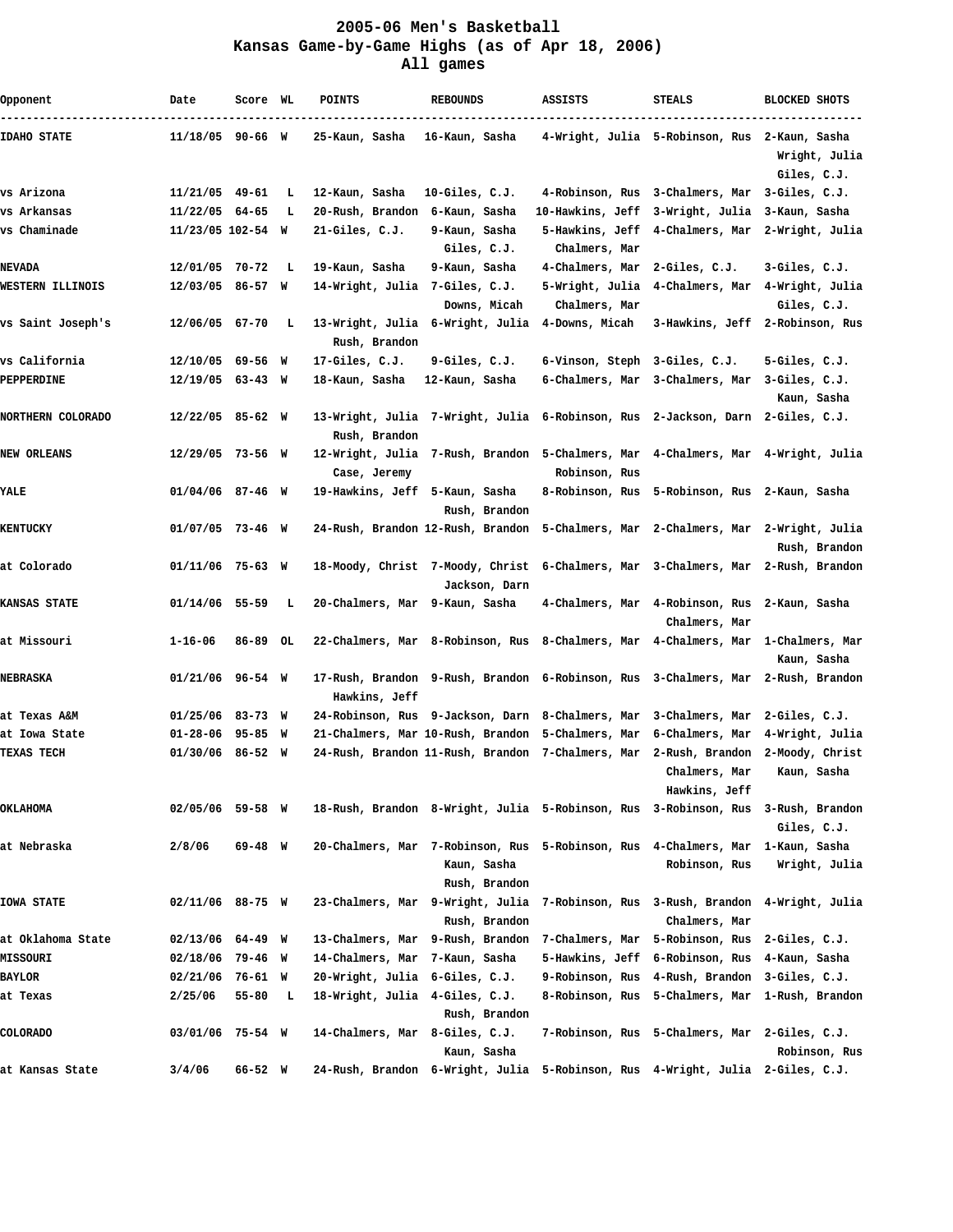## **2005-06 Men's Basketball Kansas Game-by-Game Highs (as of Apr 18, 2006) All games**

| Opponent                 | Date               | Score WL |     | <b>POINTS</b>                  | <b>REBOUNDS</b>                                                                      | ASSISTS                         | <b>STEALS</b>                                     | <b>BLOCKED SHOTS</b>                |
|--------------------------|--------------------|----------|-----|--------------------------------|--------------------------------------------------------------------------------------|---------------------------------|---------------------------------------------------|-------------------------------------|
| <b>IDAHO STATE</b>       | 11/18/05 90-66 W   |          |     | 25-Kaun, Sasha                 | 16-Kaun, Sasha                                                                       |                                 | 4-Wright, Julia 5-Robinson, Rus 2-Kaun, Sasha     | Wright, Julia<br>Giles, C.J.        |
| vs Arizona               | 11/21/05 49-61     |          | L   | 12-Kaun, Sasha                 | $10-Giles, C.J.$                                                                     | 4-Robinson, Rus                 | 3-Chalmers, Mar 3-Giles, C.J.                     |                                     |
| vs Arkansas              | $11/22/05$ 64-65   |          | L   | 20-Rush, Brandon               | 6-Kaun, Sasha                                                                        | 10-Hawkins, Jeff                | 3-Wright, Julia                                   | 3-Kaun, Sasha                       |
| vs Chaminade             | 11/23/05 102-54 W  |          |     | $21$ -Giles, $C.J.$            | 9-Kaun, Sasha                                                                        | 5-Hawkins, Jeff                 | 4-Chalmers, Mar                                   | 2-Wright, Julia                     |
|                          |                    |          |     |                                | Giles, C.J.                                                                          | Chalmers, Mar                   |                                                   |                                     |
| <b>NEVADA</b>            | 12/01/05 70-72     |          | L   | 19-Kaun, Sasha                 | 9-Kaun, Sasha                                                                        | 4-Chalmers, Mar                 | $2$ -Giles, $C.J.$                                | $3$ -Giles, $C.J.$                  |
| <b>WESTERN ILLINOIS</b>  | 12/03/05 86-57 W   |          |     | 14-Wright, Julia 7-Giles, C.J. |                                                                                      | 5-Wright, Julia                 | 4-Chalmers, Mar                                   | 4-Wright, Julia                     |
|                          |                    |          |     |                                | Downs, Micah                                                                         | Chalmers, Mar                   |                                                   | Giles, C.J.                         |
| vs Saint Joseph's        | 12/06/05 67-70     |          | L   | Rush, Brandon                  | 13-Wright, Julia 6-Wright, Julia                                                     | 4-Downs, Micah                  |                                                   | 3-Hawkins, Jeff 2-Robinson, Rus     |
| vs California            | 12/10/05 69-56 W   |          |     | 17-Giles, C.J.                 | 9-Giles, C.J.                                                                        | 6-Vinson, Steph 3-Giles, C.J.   |                                                   | 5-Giles, C.J.                       |
| PEPPERDINE               | $12/19/05$ 63-43 W |          |     | 18-Kaun, Sasha                 | 12-Kaun, Sasha                                                                       | 6-Chalmers, Mar                 | 3-Chalmers, Mar                                   | $3$ -Giles, $C.J.$<br>Kaun, Sasha   |
| <b>NORTHERN COLORADO</b> | $12/22/05$ 85-62 W |          |     | Rush, Brandon                  | 13-Wright, Julia  7-Wright, Julia  6-Robinson, Rus  2-Jackson, Darn  2-Giles, C.J.   |                                 |                                                   |                                     |
| <b>NEW ORLEANS</b>       | 12/29/05 73-56 W   |          |     | Case, Jeremy                   | 12-Wright, Julia 7-Rush, Brandon 5-Chalmers, Mar                                     | Robinson, Rus                   | 4-Chalmers, Mar 4-Wright, Julia                   |                                     |
| YALE                     | 01/04/06 87-46 W   |          |     | 19-Hawkins, Jeff 5-Kaun, Sasha | Rush, Brandon                                                                        | 8-Robinson, Rus                 | 5-Robinson, Rus 2-Kaun, Sasha                     |                                     |
| <b>KENTUCKY</b>          | 01/07/05 73-46 W   |          |     |                                | 24-Rush, Brandon 12-Rush, Brandon 5-Chalmers, Mar 2-Chalmers, Mar 2-Wright, Julia    |                                 |                                                   | Rush, Brandon                       |
| at Colorado              | 01/11/06 75-63 W   |          |     |                                | 18-Moody, Christ 7-Moody, Christ<br>Jackson, Darn                                    |                                 | 6-Chalmers, Mar 3-Chalmers, Mar 2-Rush, Brandon   |                                     |
| <b>KANSAS STATE</b>      | 01/14/06 55-59     |          | L,  | 20-Chalmers, Mar 9-Kaun, Sasha |                                                                                      | 4-Chalmers, Mar                 | 4-Robinson, Rus<br>Chalmers, Mar                  | 2-Kaun, Sasha                       |
| at Missouri              | 1-16-06            | 86–89    | OL. |                                | 22-Chalmers, Mar 8-Robinson, Rus                                                     | 8-Chalmers, Mar 4-Chalmers, Mar |                                                   | 1-Chalmers, Mar<br>Kaun, Sasha      |
| NEBRASKA                 | 01/21/06 96-54 W   |          |     | Hawkins, Jeff                  | 17-Rush, Brandon  9-Rush, Brandon  6-Robinson, Rus  3-Chalmers, Mar  2-Rush, Brandon |                                 |                                                   |                                     |
| at Texas A&M             | 01/25/06 83-73 W   |          |     |                                | 24-Robinson, Rus 9-Jackson, Darn 8-Chalmers, Mar                                     |                                 | 3-Chalmers, Mar                                   | $2$ -Giles, $C.J.$                  |
| at Iowa State            | $01 - 28 - 06$     | 95–85 W  |     |                                | 21-Chalmers, Mar 10-Rush, Brandon 5-Chalmers, Mar                                    |                                 | 6-Chalmers, Mar                                   | 4-Wright, Julia                     |
| <b>TEXAS TECH</b>        | 01/30/06 86-52 W   |          |     |                                | 24-Rush, Brandon 11-Rush, Brandon 7-Chalmers, Mar                                    |                                 | 2-Rush, Brandon<br>Chalmers, Mar<br>Hawkins, Jeff | 2-Moody, Christ<br>Kaun, Sasha      |
| OKLAHOMA                 | 02/05/06 59-58 W   |          |     |                                | 18-Rush, Brandon 8-Wright, Julia 5-Robinson, Rus                                     |                                 | 3-Robinson, Rus                                   | 3-Rush, Brandon<br>Giles, C.J.      |
| at Nebraska              | 2/8/06             | 69–48 W  |     |                                | 20-Chalmers, Mar 7-Robinson, Rus<br>Kaun, Sasha<br>Rush, Brandon                     | 5-Robinson, Rus                 | 4-Chalmers, Mar<br>Robinson, Rus                  | 1-Kaun, Sasha<br>Wright, Julia      |
| <b>IOWA STATE</b>        | 02/11/06 88-75 W   |          |     | 23-Chalmers, Mar               | 9-Wright, Julia<br>Rush, Brandon                                                     | 7-Robinson, Rus                 | 3-Rush, Brandon<br>Chalmers, Mar                  | 4-Wright, Julia                     |
| at Oklahoma State        | 02/13/06           | 64–49 W  |     | 13-Chalmers, Mar               | 9-Rush, Brandon                                                                      | 7-Chalmers, Mar                 | 5-Robinson, Rus                                   | $2$ -Giles, $C.J.$                  |
| MISSOURI                 | 02/18/06           | 79-46 W  |     | 14-Chalmers, Mar               | 7-Kaun, Sasha                                                                        | 5-Hawkins, Jeff                 | 6-Robinson, Rus                                   | 4-Kaun, Sasha                       |
| <b>BAYLOR</b>            | 02/21/06           | 76-61 W  |     | 20-Wright, Julia               | 6-Giles, C.J.                                                                        | 9-Robinson, Rus                 | 4-Rush, Brandon                                   | $3-Giles, C.J.$                     |
| at Texas                 | 2/25/06            | 55-80    | L,  | 18-Wright, Julia               | 4-Giles, C.J.<br>Rush, Brandon                                                       | 8-Robinson, Rus                 | 5-Chalmers, Mar                                   | 1-Rush, Brandon                     |
| <b>COLORADO</b>          | 03/01/06           | 75–54 W  |     | 14-Chalmers, Mar               | $8-Giles, C.J.$<br>Kaun, Sasha                                                       | 7-Robinson, Rus                 | 5-Chalmers, Mar                                   | $2$ -Giles, $C.J.$<br>Robinson, Rus |
| at Kansas State          | 3/4/06             | 66–52 W  |     |                                | 24-Rush, Brandon 6-Wright, Julia                                                     |                                 | 5-Robinson, Rus 4-Wright, Julia 2-Giles, C.J.     |                                     |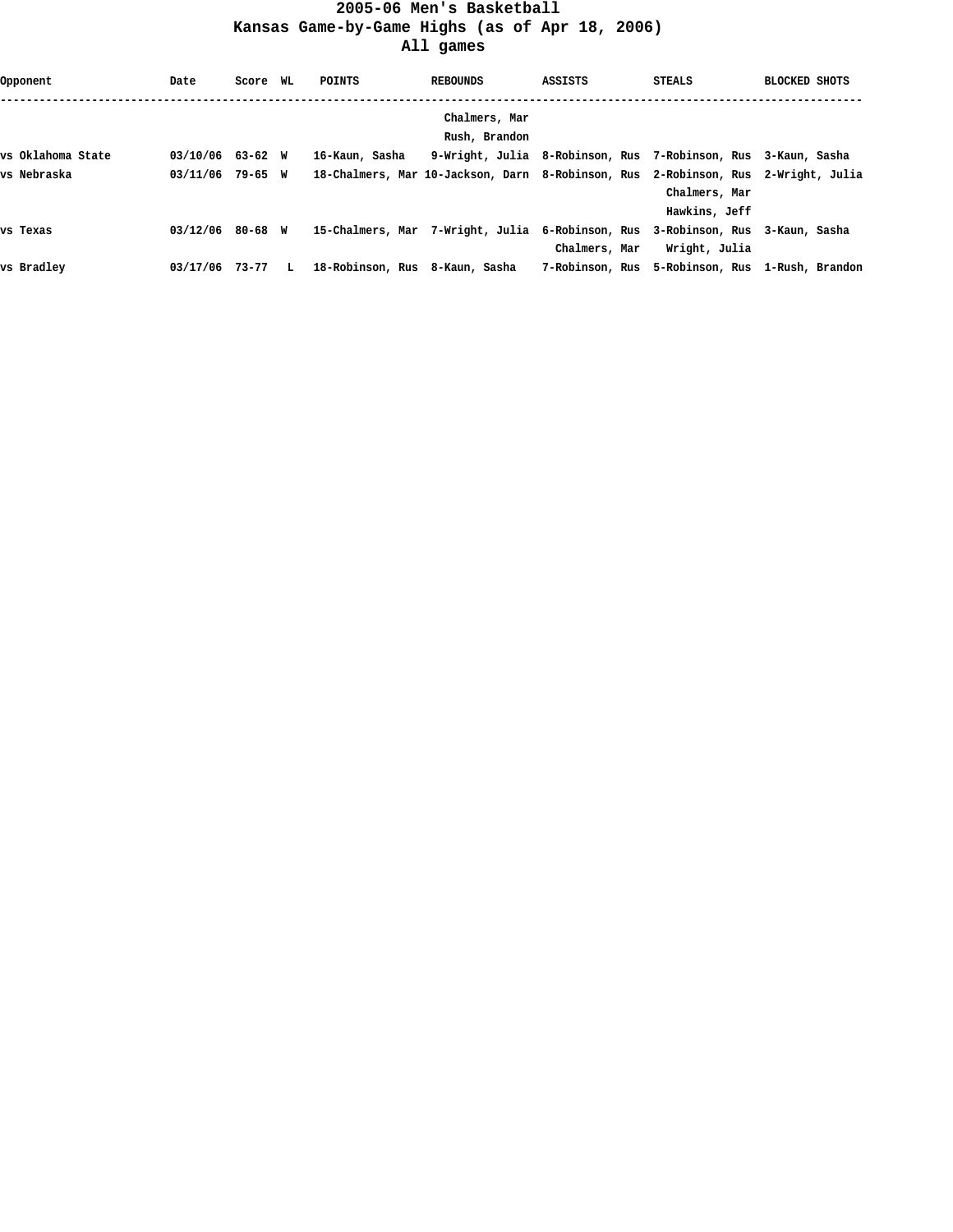## **2005-06 Men's Basketball Kansas Game-by-Game Highs (as of Apr 18, 2006) All games**

| Opponent          | Date             | Score WL |    | POINTS                                                            | <b>REBOUNDS</b> | ASSISTS                                                       | <b>STEALS</b>                                   | <b>BLOCKED SHOTS</b> |
|-------------------|------------------|----------|----|-------------------------------------------------------------------|-----------------|---------------------------------------------------------------|-------------------------------------------------|----------------------|
|                   |                  |          |    |                                                                   | Chalmers, Mar   |                                                               |                                                 |                      |
|                   |                  |          |    |                                                                   | Rush, Brandon   |                                                               |                                                 |                      |
| vs Oklahoma State | 03/10/06         | 63-62 W  |    | 16-Kaun, Sasha                                                    |                 | 9-Wright, Julia 8-Robinson, Rus 7-Robinson, Rus 3-Kaun, Sasha |                                                 |                      |
| vs Nebraska       | 03/11/06 79-65 W |          |    | 18-Chalmers, Mar 10-Jackson, Darn 8-Robinson, Rus 2-Robinson, Rus |                 |                                                               |                                                 | 2-Wright, Julia      |
|                   |                  |          |    |                                                                   |                 |                                                               | Chalmers, Mar                                   |                      |
|                   |                  |          |    |                                                                   |                 |                                                               | Hawkins, Jeff                                   |                      |
| vs Texas          | 03/12/06         | 80-68 W  |    | 15-Chalmers, Mar 7-Wright, Julia 6-Robinson, Rus                  |                 |                                                               | 3-Robinson, Rus                                 | 3-Kaun, Sasha        |
|                   |                  |          |    |                                                                   |                 | Chalmers, Mar                                                 | Wright, Julia                                   |                      |
| vs Bradlev        | 03/17/06 73-77   |          | L. | 18-Robinson, Rus 8-Kaun, Sasha                                    |                 |                                                               | 7-Robinson, Rus 5-Robinson, Rus 1-Rush, Brandon |                      |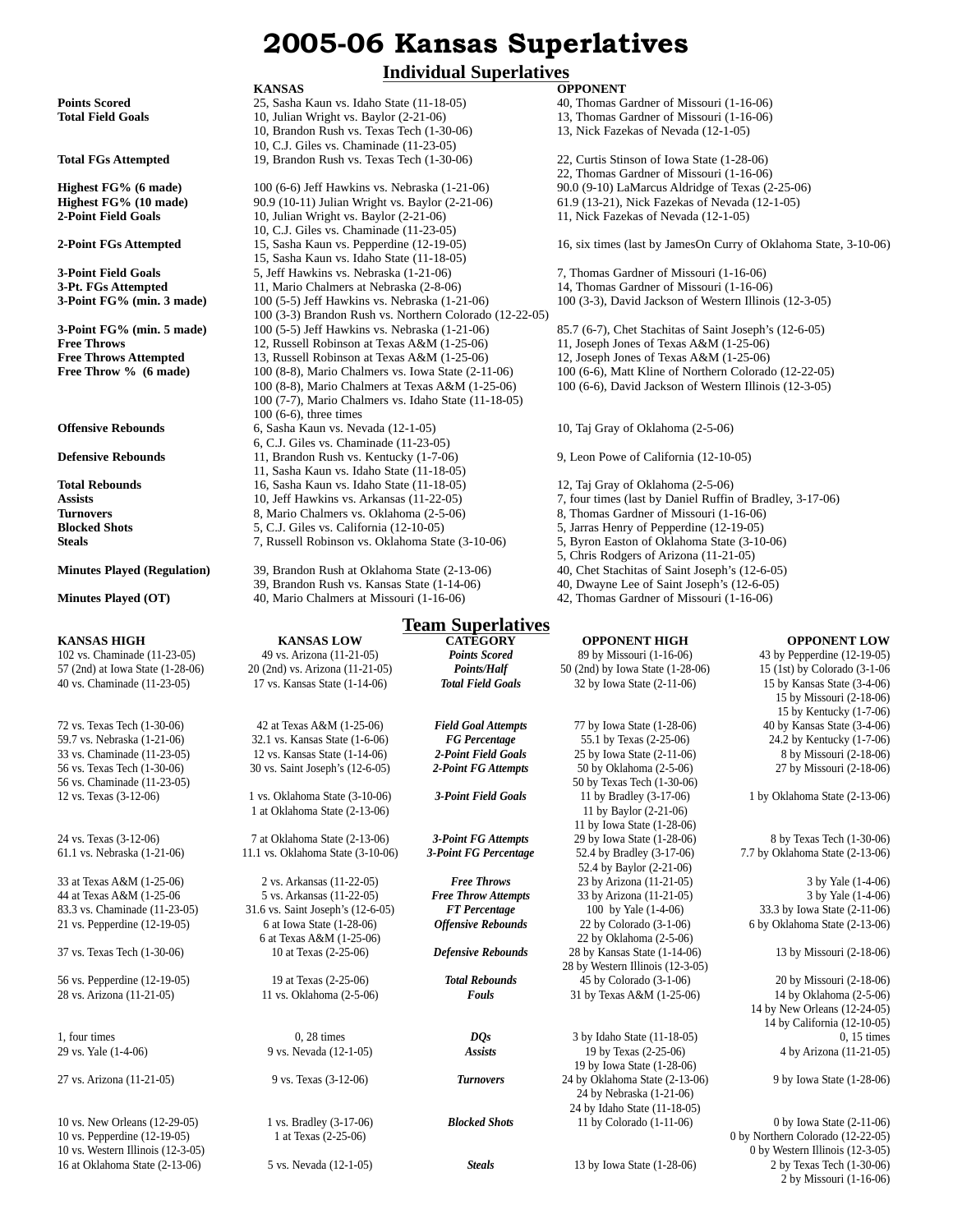# **2005-06 Kansas Superlatives**

# **Individual Superlatives**

40 vs. Chaminade (11-23-05) 17 vs. Kansas State (1-14-06) *Total Field Goals* 32 by Iowa State (2-11-06) 15 by Kansas State (3-4-06)

44 at Texas A&M (1-25-06)

**KANSAS OPPONENT Points Scored** 25, Sasha Kaun vs. Idaho State (11-18-05) 40, Thomas Gardner of Missouri (1-16-06) **Total Field Goals** 10, Julian Wright vs. Baylor (2-21-06) 13, Thomas Gardner of Missouri (1-16-06) 10, Brandon Rush vs. Texas Tech (1-30-06) 13, Nick Fazekas of Nevada (12-1-05) 10, Brandon Rush vs. Texas Tech  $(1-30-06)$ 10, C.J. Giles vs. Chaminade (11-23-05) **Total FGs Attempted** 19, Brandon Rush vs. Texas Tech (1-30-06) 22, Curtis Stinson of Iowa State (1-28-06) **Highest FG% (6 made)** 100 (6-6) Jeff Hawkins vs. Nebraska (1-21-06) 90.0 (9-10) LaMarcus Aldridge of Texas (2-25-06) **Highest FG% (10 made)** 90.9 (10-11) Julian Wright vs. Baylor (2-21-06) 61.9 (13-21), Nick Fazekas of Nevada (12-1-05) **2-Point Field Goals** 10, Julian Wright vs. Baylor (2-21-06) 11, Nick Fazekas of Nevada (12-1-05) 10, C.J. Giles vs. Chaminade (11-23-05) **2-Point FGs Attempted** 15, Sasha Kaun vs. Pepperdine (12-19-05) 16, six times (last by JamesOn Curry of Oklahoma State, 3-10-06) 15, Sasha Kaun vs. Idaho State (11-18-05) **3-Point Field Goals** 5, Jeff Hawkins vs. Nebraska (1-21-06) 7, Thomas Gardner of Missouri (1-16-06) **3-Pt. FGs Attempted** 11, Mario Chalmers at Nebraska (2-8-06) 14, Thomas Gardner of Missouri (1-16-06)<br>**3-Point FG% (min. 3 made)** 100 (5-5) Jeff Hawkins vs. Nebraska (1-21-06) 100 (3-3), David Jackson of Western Illinoi **3-Point FG% (min. 3 made)** 100 (5-5) Jeff Hawkins vs. Nebraska (1-21-06) 100 (3-3), David Jackson of Western Illinois (12-3-05) 100 (3-3) Brandon Rush vs. Northern Colorado (12-22-05) **3-Point FG% (min. 5 made)** 100 (5-5) Jeff Hawkins vs. Nebraska (1-21-06) 85.7 (6-7), Chet Stachitas of Saint Joseph's (12-6-05) **Free Throws** 12, Russell Robinson at Texas A&M (1-25-06) 11, Joseph Jones of Texas A&M (1-25-06)<br> **Free Throws Attempted** 13, Russell Robinson at Texas A&M (1-25-06) 12, Joseph Jones of Texas A&M (1-25-06) 13, Russell Robinson at Texas A&M (1-25-06) **Free Throw % (6 made)** 100 (8-8), Mario Chalmers vs. Iowa State (2-11-06) 100 (6-6), Matt Kline of Northern Colorado (12-22-05) 100 (8-8), Mario Chalmers at Texas A&M (1-25-06) 100 (6-6), David Jackson of Western Illinois (12-3-05) 100 (7-7), Mario Chalmers vs. Idaho State (11-18-05) 100 (6-6), three times **Offensive Rebounds** 6, Sasha Kaun vs. Nevada (12-1-05) 10, Taj Gray of Oklahoma (2-5-06) 6, C.J. Giles vs. Chaminade (11-23-05) **Defensive Rebounds** 11, Brandon Rush vs. Kentucky (1-7-06) 9, Leon Powe of California (12-10-05) 11, Sasha Kaun vs. Idaho State (11-18-05) **Total Rebounds** 16, Sasha Kaun vs. Idaho State (11-18-05) 12, Taj Gray of Oklahoma (2-5-06) Assists 10, Jeff Hawkins vs. Arkansas (11-22-05) 7, four times (last by Daniel Ruffin of Bradley, 3-17-06) **Turnovers** 8, Mario Chalmers vs. Oklahoma (2-5-06) 8, Thomas Gardner of Missouri (1-16-06) **Blocked Shots** 5, C.J. Giles vs. California (12-10-05) 5, Jarras Henry of Pepperdine (12-19-05) **Steals** 7, Russell Robinson vs. Oklahoma State (3-10-06) 5, Byron Easton of Oklahoma State (3-10-06) **Minutes Played (Regulation)** 39, Brandon Rush at Oklahoma State (2-13-06) 40, Chet Stachitas of Saint Joseph's (12-6-05)<br>39, Brandon Rush vs. Kansas State (1-14-06) 40, Dwayne Lee of Saint Joseph's (12-6-05)

39, Brandon Rush vs. Kansas State (1-14-06) **Minutes Played (OT)** 40, Mario Chalmers at Missouri (1-16-06) 42, Thomas Gardner of Missouri (1-16-06)

# **Team Superlatives**

102 vs. Chaminade (11-23-05) 49 vs. Arizona (11-21-05) *Points Scored* 89 by Missouri (1-16-06) 43 by Pepperdine (12-19-05) 57 (2nd) at Iowa State (1-28-06) 20 (2nd) vs. Arizona (11-21-05) *Points/Half* 50 (2nd) by Iowa State (1-28-06) 15 (1st) by Colorado (3-1-06 72 vs. Texas Tech (1-30-06) 42 at Texas A&M (1-25-06) *Field Goal Attempts* 77 by Iowa State (1-28-06) 40 by Kansas State (3-4-06) 59.7 vs. Nebraska (1-21-06) 32.1 vs. Kansas State (1-6-06) *FG Percentage* 55.1 by Texas (2-25-06) 24.2 by Kentucky (1-7-06) 33 vs. Chaminade (11-23-05) 12 vs. Kansas State (1-14-06) *2-Point Field Goals* 25 by Iowa State (2-11-06) 8 by Missouri (2-18-06) 56 vs. Texas Tech (1-30-06) 30 vs. Saint Joseph's (12-6-05) *2-Point FG Attempts* 50 by Oklahoma (2-5-06) 27 by Missouri (2-18-06) 56 vs. Chaminade (11-23-05)<br>12 vs. Texas (3-12-06) 50 by Texas Tech (1-30-06)<br>12 vs. Texas (3-12-06) 50 by Texas Tech (1-30-06) 12 vs. Texas (3-12-06) 1 vs. Oklahoma State (3-10-06) *3-Point Field Goals* 11 by Bradley (3-17-06) 1 by Oklahoma State (2-13-06) 1 at Oklahoma State (2-13-06) 11 by Baylor (2-21-06) 24 vs. Texas (3-12-06) 7 at Oklahoma State (2-13-06) *3-Point FG Attempts* 29 by Iowa State (1-28-06) 8 by Texas Tech (1-30-06) 61.1 vs. Nebraska (1-21-06) 11.1 vs. Oklahoma State (3-10-06) *3-Point FG Percentage* 52.4 by Bradley (3-17-06) 7.7 by Oklahoma State (2-13-06) 33 at Texas A&M (1-25-06) 2 vs. Arkansas (11-22-05) *Free Throws* 23 by Arizona (11-21-05) 3 by Yale (1-4-06) 83.3 vs. Chaminade (11-23-05) 31.6 vs. Saint Joseph's (12-6-05) *FT Percentage* 100 by Yale (1-4-06) 33.3 by Iowa State (2-11-06) 21 vs. Pepperdine (12-19-05) 6 at Iowa State (1-28-06) *Offensive Rebounds* 22 by Colorado (3-1-06) 6 by Oklahoma State (2-13-06) 6 at Texas A&M (1-25-06) 22 by Oklahoma (2-5-06) 37 vs. Texas Tech (1-30-06) 10 at Texas (2-25-06) *Defensive Rebounds* 28 by Kansas State (1-14-06) 13 by Missouri (2-18-06) 56 vs. Pepperdine (12-19-05) 19 at Texas (2-25-06) *Total Rebounds* 45 by Colorado (3-1-06) 20 by Missouri (2-18-06) 28 vs. Arizona (11-21-05) 11 vs. Oklahoma (2-5-06) *Fouls* 31 by Texas A&M (1-25-06) 14 by Oklahoma (2-5-06) 1, four times 0, 28 times 0, 28 times 0, 28 times 0, 28 times *DQs* 3 by Idaho State (11-18-05) 0, 15 times

22, Thomas Gardner of Missouri (1-16-06)

- 
- 
- 
- 
- 5, Chris Rodgers of Arizona (11-21-05)
- 
- 
- 

**KANSAS HIGH KANSAS LOW CATEGORY OPPONENT HIGH OPPONENT LOW** 15 by Missouri (2-18-06) 15 by Kentucky (1-7-06) 11 by Iowa State (1-28-06) 52.4 by Baylor (2-21-06) 28 by Western Illinois (12-3-05) 14 by New Orleans (12-24-05) 14 by California (12-10-05) 29 vs. Yale (1-4-06) 9 vs. Nevada (12-1-05) *Assists* 19 by Texas (2-25-06) 4 by Arizona (11-21-05) 19 by Iowa State (1-28-06) 27 vs. Arizona (11-21-05) 9 vs. Texas (3-12-06) *Turnovers* 24 by Oklahoma State (2-13-06) 9 by Iowa State (1-28-06) 24 by Nebraska (1-21-06) 24 by Idaho State (11-18-05) 10 vs. New Orleans (12-29-05) 1 vs. Bradley (3-17-06) *Blocked Shots* 11 by Colorado (1-11-06) 0 by Iowa State (2-11-06) 10 vs. Pepperdine (12-19-05) 1 at Texas (2-25-06) 0 by Northern Colorado (12-22-05) 10 vs. Western Illinois (12-3-05) 0 by Western Illinois (12-3-05) 16 at Oklahoma State (2-13-06) 5 vs. Nevada (12-1-05) *Steals* 13 by Iowa State (1-28-06) 2 by Texas Tech (1-30-06) 2 by Missouri (1-16-06)